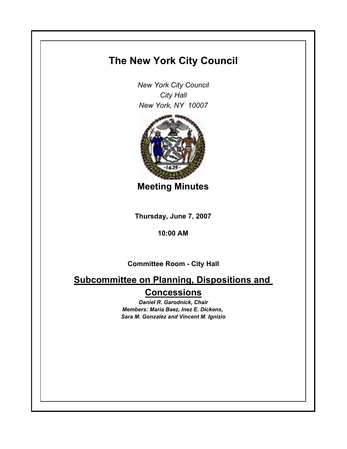# **The New York City Council**

*New York City Council City Hall New York, NY 10007*



**Meeting Minutes**

**Thursday, June 7, 2007**

**10:00 AM**

**Committee Room - City Hall**

**Subcommittee on Planning, Dispositions and Concessions**

> *Daniel R. Garodnick, Chair Members: Maria Baez, Inez E. Dickens, Sara M. Gonzalez and Vincent M. Ignizio*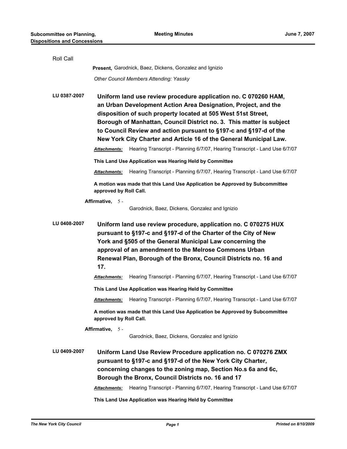| Roll Call    |                                                                                                                                                                                                                                                                                                                                                                                                                       |                                                                                                                                                                                                                                                                                                                              |  |
|--------------|-----------------------------------------------------------------------------------------------------------------------------------------------------------------------------------------------------------------------------------------------------------------------------------------------------------------------------------------------------------------------------------------------------------------------|------------------------------------------------------------------------------------------------------------------------------------------------------------------------------------------------------------------------------------------------------------------------------------------------------------------------------|--|
|              |                                                                                                                                                                                                                                                                                                                                                                                                                       | Present, Garodnick, Baez, Dickens, Gonzalez and Ignizio                                                                                                                                                                                                                                                                      |  |
|              |                                                                                                                                                                                                                                                                                                                                                                                                                       | Other Council Members Attending: Yassky                                                                                                                                                                                                                                                                                      |  |
| LU 0387-2007 | Uniform land use review procedure application no. C 070260 HAM,<br>an Urban Development Action Area Designation, Project, and the<br>disposition of such property located at 505 West 51st Street,<br>Borough of Manhattan, Council District no. 3. This matter is subject<br>to Council Review and action pursuant to §197-c and §197-d of the<br>New York City Charter and Article 16 of the General Municipal Law. |                                                                                                                                                                                                                                                                                                                              |  |
|              | Attachments:                                                                                                                                                                                                                                                                                                                                                                                                          | Hearing Transcript - Planning 6/7/07, Hearing Transcript - Land Use 6/7/07                                                                                                                                                                                                                                                   |  |
|              |                                                                                                                                                                                                                                                                                                                                                                                                                       | This Land Use Application was Hearing Held by Committee                                                                                                                                                                                                                                                                      |  |
|              | <b>Attachments:</b>                                                                                                                                                                                                                                                                                                                                                                                                   | Hearing Transcript - Planning 6/7/07, Hearing Transcript - Land Use 6/7/07                                                                                                                                                                                                                                                   |  |
|              | approved by Roll Call.                                                                                                                                                                                                                                                                                                                                                                                                | A motion was made that this Land Use Application be Approved by Subcommittee                                                                                                                                                                                                                                                 |  |
|              | Affirmative, 5-                                                                                                                                                                                                                                                                                                                                                                                                       |                                                                                                                                                                                                                                                                                                                              |  |
|              |                                                                                                                                                                                                                                                                                                                                                                                                                       | Garodnick, Baez, Dickens, Gonzalez and Ignizio                                                                                                                                                                                                                                                                               |  |
| LU 0408-2007 |                                                                                                                                                                                                                                                                                                                                                                                                                       |                                                                                                                                                                                                                                                                                                                              |  |
|              | 17.                                                                                                                                                                                                                                                                                                                                                                                                                   | Uniform land use review procedure, application no. C 070275 HUX<br>pursuant to §197-c and §197-d of the Charter of the City of New<br>York and §505 of the General Municipal Law concerning the<br>approval of an amendment to the Melrose Commons Urban<br>Renewal Plan, Borough of the Bronx, Council Districts no. 16 and |  |
|              | Attachments:                                                                                                                                                                                                                                                                                                                                                                                                          | Hearing Transcript - Planning 6/7/07, Hearing Transcript - Land Use 6/7/07                                                                                                                                                                                                                                                   |  |
|              |                                                                                                                                                                                                                                                                                                                                                                                                                       | This Land Use Application was Hearing Held by Committee                                                                                                                                                                                                                                                                      |  |
|              | Attachments:                                                                                                                                                                                                                                                                                                                                                                                                          | Hearing Transcript - Planning 6/7/07, Hearing Transcript - Land Use 6/7/07                                                                                                                                                                                                                                                   |  |
|              | approved by Roll Call.                                                                                                                                                                                                                                                                                                                                                                                                | A motion was made that this Land Use Application be Approved by Subcommittee                                                                                                                                                                                                                                                 |  |
|              | Affirmative, 5 -                                                                                                                                                                                                                                                                                                                                                                                                      |                                                                                                                                                                                                                                                                                                                              |  |
|              |                                                                                                                                                                                                                                                                                                                                                                                                                       | Garodnick, Baez, Dickens, Gonzalez and Ignizio                                                                                                                                                                                                                                                                               |  |
| LU 0409-2007 |                                                                                                                                                                                                                                                                                                                                                                                                                       | Uniform Land Use Review Procedure application no. C 070276 ZMX<br>pursuant to §197-c and §197-d of the New York City Charter,<br>concerning changes to the zoning map, Section No.s 6a and 6c,<br>Borough the Bronx, Council Districts no. 16 and 17                                                                         |  |
|              | Attachments:                                                                                                                                                                                                                                                                                                                                                                                                          | Hearing Transcript - Planning 6/7/07, Hearing Transcript - Land Use 6/7/07                                                                                                                                                                                                                                                   |  |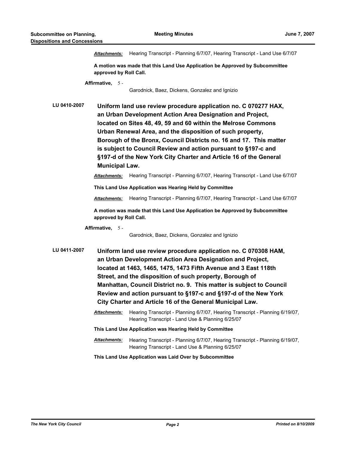*Attachments:* Hearing Transcript - Planning 6/7/07, Hearing Transcript - Land Use 6/7/07

**A motion was made that this Land Use Application be Approved by Subcommittee approved by Roll Call.**

**Affirmative,** 5 -

Garodnick, Baez, Dickens, Gonzalez and Ignizio

**LU 0410-2007 Uniform land use review procedure application no. C 070277 HAX, an Urban Development Action Area Designation and Project, located on Sites 48, 49, 59 and 60 within the Melrose Commons Urban Renewal Area, and the disposition of such property, Borough of the Bronx, Council Districts no. 16 and 17. This matter is subject to Council Review and action pursuant to §197-c and §197-d of the New York City Charter and Article 16 of the General Municipal Law.**

*Attachments:* Hearing Transcript - Planning 6/7/07, Hearing Transcript - Land Use 6/7/07

**This Land Use Application was Hearing Held by Committee**

*Attachments:* Hearing Transcript - Planning 6/7/07, Hearing Transcript - Land Use 6/7/07

**A motion was made that this Land Use Application be Approved by Subcommittee approved by Roll Call.**

**Affirmative,** 5 -

Garodnick, Baez, Dickens, Gonzalez and Ignizio

**LU 0411-2007 Uniform land use review procedure application no. C 070308 HAM, an Urban Development Action Area Designation and Project, located at 1463, 1465, 1475, 1473 Fifth Avenue and 3 East 118th Street, and the disposition of such property, Borough of Manhattan, Council District no. 9. This matter is subject to Council Review and action pursuant to §197-c and §197-d of the New York City Charter and Article 16 of the General Municipal Law.**

> *Attachments:* Hearing Transcript - Planning 6/7/07, Hearing Transcript - Planning 6/19/07, Hearing Transcript - Land Use & Planning 6/25/07

**This Land Use Application was Hearing Held by Committee**

*Attachments:* Hearing Transcript - Planning 6/7/07, Hearing Transcript - Planning 6/19/07, Hearing Transcript - Land Use & Planning 6/25/07

**This Land Use Application was Laid Over by Subcommittee**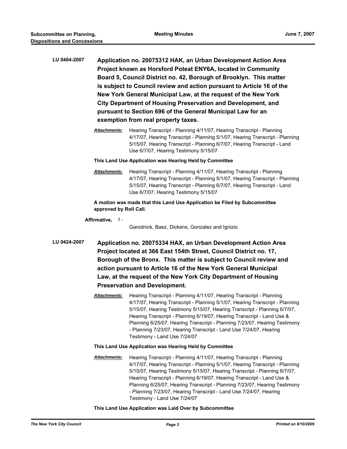- **LU 0404-2007 Application no. 20075312 HAK, an Urban Development Action Area Project known as Horsford Poteat ENY6A, located in Community Board 5, Council District no. 42, Borough of Brooklyn. This matter is subject to Council review and action pursuant to Article 16 of the New York General Municipal Law, at the request of the New York City Department of Housing Preservation and Development, and pursuant to Section 696 of the General Municipal Law for an exemption from real property taxes.**
	- *Attachments:* Hearing Transcript Planning 4/11/07, Hearing Transcript Planning 4/17/07, Hearing Transcript - Planning 5/1/07, Hearing Transcript - Planning 5/15/07, Hearing Transcript - Planning 6/7/07, Hearing Transcript - Land Use 6/7/07, Hearing Testimony 5/15/07

#### **This Land Use Application was Hearing Held by Committee**

*Attachments:* Hearing Transcript - Planning 4/11/07, Hearing Transcript - Planning 4/17/07, Hearing Transcript - Planning 5/1/07, Hearing Transcript - Planning 5/15/07, Hearing Transcript - Planning 6/7/07, Hearing Transcript - Land Use 6/7/07, Hearing Testimony 5/15/07

**A motion was made that this Land Use Application be Filed by Subcommittee approved by Roll Call.**

**Affirmative,** 5 -

Garodnick, Baez, Dickens, Gonzalez and Ignizio

- **LU 0424-2007 Application no. 20075334 HAX, an Urban Development Action Area Project located at 366 East 154th Street, Council District no. 17, Borough of the Bronx. This matter is subject to Council review and action pursuant to Article 16 of the New York General Municipal Law, at the request of the New York City Department of Housing Preservation and Development.**
	- *Attachments:* Hearing Transcript Planning 4/11/07, Hearing Transcript Planning 4/17/07, Hearing Transcript - Planning 5/1/07, Hearing Transcript - Planning 5/15/07, Hearing Testimony 5/15/07, Hearing Transcript - Planning 6/7/07, Hearing Transcript - Planning 6/19/07, Hearing Transcript - Land Use & Planning 6/25/07, Hearing Transcript - Planning 7/23/07, Hearing Testimony - Planning 7/23/07, Hearing Transcript - Land Use 7/24/07, Hearing Testimony - Land Use 7/24/07

# **This Land Use Application was Hearing Held by Committee**

*Attachments:* Hearing Transcript - Planning 4/11/07, Hearing Transcript - Planning 4/17/07, Hearing Transcript - Planning 5/1/07, Hearing Transcript - Planning 5/15/07, Hearing Testimony 5/15/07, Hearing Transcript - Planning 6/7/07, Hearing Transcript - Planning 6/19/07, Hearing Transcript - Land Use & Planning 6/25/07, Hearing Transcript - Planning 7/23/07, Hearing Testimony - Planning 7/23/07, Hearing Transcript - Land Use 7/24/07, Hearing Testimony - Land Use 7/24/07

# **This Land Use Application was Laid Over by Subcommittee**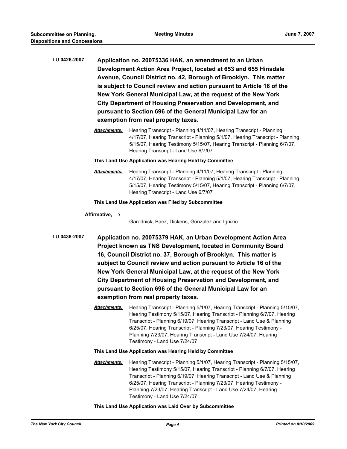| LU 0426-2007 | Application no. 20075336 HAK, an amendment to an Urban                |  |  |  |
|--------------|-----------------------------------------------------------------------|--|--|--|
|              | Development Action Area Project, located at 653 and 655 Hinsdale      |  |  |  |
|              | Avenue, Council District no. 42, Borough of Brooklyn. This matter     |  |  |  |
|              | is subject to Council review and action pursuant to Article 16 of the |  |  |  |
|              | New York General Municipal Law, at the request of the New York        |  |  |  |
|              | <b>City Department of Housing Preservation and Development, and</b>   |  |  |  |
|              | pursuant to Section 696 of the General Municipal Law for an           |  |  |  |
|              | exemption from real property taxes.                                   |  |  |  |

*Attachments:* Hearing Transcript - Planning 4/11/07, Hearing Transcript - Planning 4/17/07, Hearing Transcript - Planning 5/1/07, Hearing Transcript - Planning 5/15/07, Hearing Testimony 5/15/07, Hearing Transcript - Planning 6/7/07, Hearing Transcript - Land Use 6/7/07

#### **This Land Use Application was Hearing Held by Committee**

*Attachments:* Hearing Transcript - Planning 4/11/07, Hearing Transcript - Planning 4/17/07, Hearing Transcript - Planning 5/1/07, Hearing Transcript - Planning 5/15/07, Hearing Testimony 5/15/07, Hearing Transcript - Planning 6/7/07, Hearing Transcript - Land Use 6/7/07

# **This Land Use Application was Filed by Subcommittee**

**Affirmative,** 5 -

Garodnick, Baez, Dickens, Gonzalez and Ignizio

- **LU 0438-2007 Application no. 20075379 HAK, an Urban Development Action Area Project known as TNS Development, located in Community Board 16, Council District no. 37, Borough of Brooklyn. This matter is subject to Council review and action pursuant to Article 16 of the New York General Municipal Law, at the request of the New York City Department of Housing Preservation and Development, and pursuant to Section 696 of the General Municipal Law for an exemption from real property taxes.**
	- *Attachments:* Hearing Transcript Planning 5/1/07, Hearing Transcript Planning 5/15/07, Hearing Testimony 5/15/07, Hearing Transcript - Planning 6/7/07, Hearing Transcript - Planning 6/19/07, Hearing Transcript - Land Use & Planning 6/25/07, Hearing Transcript - Planning 7/23/07, Hearing Testimony - Planning 7/23/07, Hearing Transcript - Land Use 7/24/07, Hearing Testimony - Land Use 7/24/07

# **This Land Use Application was Hearing Held by Committee**

*Attachments:* Hearing Transcript - Planning 5/1/07, Hearing Transcript - Planning 5/15/07, Hearing Testimony 5/15/07, Hearing Transcript - Planning 6/7/07, Hearing Transcript - Planning 6/19/07, Hearing Transcript - Land Use & Planning 6/25/07, Hearing Transcript - Planning 7/23/07, Hearing Testimony - Planning 7/23/07, Hearing Transcript - Land Use 7/24/07, Hearing Testimony - Land Use 7/24/07

## **This Land Use Application was Laid Over by Subcommittee**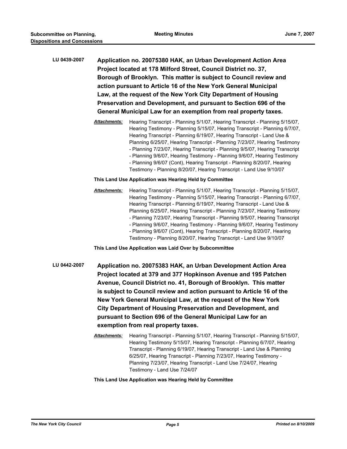| LU 0439-2007 | Application no. 20075380 HAK, an Urban Development Action Area<br>Project located at 178 Milford Street, Council District no. 37,<br>Borough of Brooklyn. This matter is subject to Council review and<br>action pursuant to Article 16 of the New York General Municipal<br>Law, at the request of the New York City Department of Housing<br>Preservation and Development, and pursuant to Section 696 of the<br>General Municipal Law for an exemption from real property taxes. |                                                                                                                                                                                                                                                                                                                                                                                                                                                                                                                                                                                                                                     |  |  |  |
|--------------|-------------------------------------------------------------------------------------------------------------------------------------------------------------------------------------------------------------------------------------------------------------------------------------------------------------------------------------------------------------------------------------------------------------------------------------------------------------------------------------|-------------------------------------------------------------------------------------------------------------------------------------------------------------------------------------------------------------------------------------------------------------------------------------------------------------------------------------------------------------------------------------------------------------------------------------------------------------------------------------------------------------------------------------------------------------------------------------------------------------------------------------|--|--|--|
|              | <b>Attachments:</b>                                                                                                                                                                                                                                                                                                                                                                                                                                                                 | Hearing Transcript - Planning 5/1/07, Hearing Transcript - Planning 5/15/07,<br>Hearing Testimony - Planning 5/15/07, Hearing Transcript - Planning 6/7/07,<br>Hearing Transcript - Planning 6/19/07, Hearing Transcript - Land Use &<br>Planning 6/25/07, Hearing Transcript - Planning 7/23/07, Hearing Testimony<br>- Planning 7/23/07, Hearing Transcript - Planning 9/5/07, Hearing Transcript<br>- Planning 9/6/07, Hearing Testimony - Planning 9/6/07, Hearing Testimony<br>- Planning 9/6/07 (Cont), Hearing Transcript - Planning 8/20/07, Hearing<br>Testimony - Planning 8/20/07, Hearing Transcript - Land Use 9/10/07 |  |  |  |
|              | This Land Use Application was Hearing Held by Committee                                                                                                                                                                                                                                                                                                                                                                                                                             |                                                                                                                                                                                                                                                                                                                                                                                                                                                                                                                                                                                                                                     |  |  |  |
|              | <b>Attachments:</b>                                                                                                                                                                                                                                                                                                                                                                                                                                                                 | Hearing Transcript - Planning 5/1/07, Hearing Transcript - Planning 5/15/07,<br>Hearing Testimony - Planning 5/15/07, Hearing Transcript - Planning 6/7/07,<br>Hearing Transcript - Planning 6/19/07, Hearing Transcript - Land Use &<br>Planning 6/25/07, Hearing Transcript - Planning 7/23/07, Hearing Testimony<br>- Planning 7/23/07, Hearing Transcript - Planning 9/5/07, Hearing Transcript<br>- Planning 9/6/07, Hearing Testimony - Planning 9/6/07, Hearing Testimony<br>- Planning 9/6/07 (Cont), Hearing Transcript - Planning 8/20/07, Hearing<br>Testimony - Planning 8/20/07, Hearing Transcript - Land Use 9/10/07 |  |  |  |
|              | This Land Use Application was Laid Over by Subcommittee                                                                                                                                                                                                                                                                                                                                                                                                                             |                                                                                                                                                                                                                                                                                                                                                                                                                                                                                                                                                                                                                                     |  |  |  |

- **LU 0442-2007 Application no. 20075383 HAK, an Urban Development Action Area Project located at 379 and 377 Hopkinson Avenue and 195 Patchen Avenue, Council District no. 41, Borough of Brooklyn. This matter is subject to Council review and action pursuant to Article 16 of the New York General Municipal Law, at the request of the New York City Department of Housing Preservation and Development, and pursuant to Section 696 of the General Municipal Law for an exemption from real property taxes.**
	- *Attachments:* Hearing Transcript Planning 5/1/07, Hearing Transcript Planning 5/15/07, Hearing Testimony 5/15/07, Hearing Transcript - Planning 6/7/07, Hearing Transcript - Planning 6/19/07, Hearing Transcript - Land Use & Planning 6/25/07, Hearing Transcript - Planning 7/23/07, Hearing Testimony - Planning 7/23/07, Hearing Transcript - Land Use 7/24/07, Hearing Testimony - Land Use 7/24/07

# **This Land Use Application was Hearing Held by Committee**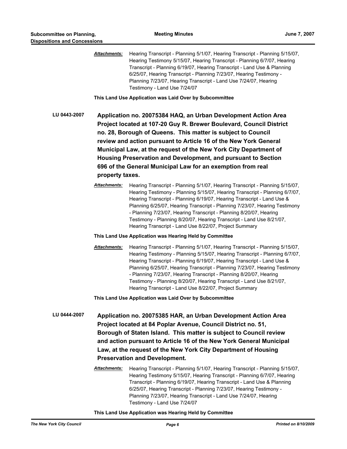|              | <b>Attachments:</b>                                                                                                                                                                                                                                                                                                                                                                                                                                                                              | Hearing Transcript - Planning 5/1/07, Hearing Transcript - Planning 5/15/07,<br>Hearing Testimony 5/15/07, Hearing Transcript - Planning 6/7/07, Hearing<br>Transcript - Planning 6/19/07, Hearing Transcript - Land Use & Planning<br>6/25/07, Hearing Transcript - Planning 7/23/07, Hearing Testimony -<br>Planning 7/23/07, Hearing Transcript - Land Use 7/24/07, Hearing<br>Testimony - Land Use 7/24/07                                                                                                              |  |
|--------------|--------------------------------------------------------------------------------------------------------------------------------------------------------------------------------------------------------------------------------------------------------------------------------------------------------------------------------------------------------------------------------------------------------------------------------------------------------------------------------------------------|-----------------------------------------------------------------------------------------------------------------------------------------------------------------------------------------------------------------------------------------------------------------------------------------------------------------------------------------------------------------------------------------------------------------------------------------------------------------------------------------------------------------------------|--|
|              |                                                                                                                                                                                                                                                                                                                                                                                                                                                                                                  | This Land Use Application was Laid Over by Subcommittee                                                                                                                                                                                                                                                                                                                                                                                                                                                                     |  |
| LU 0443-2007 | Application no. 20075384 HAQ, an Urban Development Action Area<br>Project located at 107-20 Guy R. Brewer Boulevard, Council District<br>no. 28, Borough of Queens. This matter is subject to Council<br>review and action pursuant to Article 16 of the New York General<br>Municipal Law, at the request of the New York City Department of<br>Housing Preservation and Development, and pursuant to Section<br>696 of the General Municipal Law for an exemption from real<br>property taxes. |                                                                                                                                                                                                                                                                                                                                                                                                                                                                                                                             |  |
|              | <b>Attachments:</b>                                                                                                                                                                                                                                                                                                                                                                                                                                                                              | Hearing Transcript - Planning 5/1/07, Hearing Transcript - Planning 5/15/07,<br>Hearing Testimony - Planning 5/15/07, Hearing Transcript - Planning 6/7/07,<br>Hearing Transcript - Planning 6/19/07, Hearing Transcript - Land Use &<br>Planning 6/25/07, Hearing Transcript - Planning 7/23/07, Hearing Testimony<br>- Planning 7/23/07, Hearing Transcript - Planning 8/20/07, Hearing<br>Testimony - Planning 8/20/07, Hearing Transcript - Land Use 8/21/07,<br>Hearing Transcript - Land Use 8/22/07, Project Summary |  |
|              | This Land Use Application was Hearing Held by Committee                                                                                                                                                                                                                                                                                                                                                                                                                                          |                                                                                                                                                                                                                                                                                                                                                                                                                                                                                                                             |  |
|              | Attachments:                                                                                                                                                                                                                                                                                                                                                                                                                                                                                     | Hearing Transcript - Planning 5/1/07, Hearing Transcript - Planning 5/15/07,<br>Hearing Testimony - Planning 5/15/07, Hearing Transcript - Planning 6/7/07,<br>Hearing Transcript - Planning 6/19/07, Hearing Transcript - Land Use &<br>Planning 6/25/07, Hearing Transcript - Planning 7/23/07, Hearing Testimony<br>- Planning 7/23/07, Hearing Transcript - Planning 8/20/07, Hearing<br>Testimony - Planning 8/20/07, Hearing Transcript - Land Use 8/21/07,<br>Hearing Transcript - Land Use 8/22/07, Project Summary |  |
|              |                                                                                                                                                                                                                                                                                                                                                                                                                                                                                                  | This Land Use Application was Laid Over by Subcommittee                                                                                                                                                                                                                                                                                                                                                                                                                                                                     |  |
| LU 0444-2007 | Application no. 20075385 HAR, an Urban Development Action Area<br>Project located at 84 Poplar Avenue, Council District no. 51,<br>Borough of Staten Island. This matter is subject to Council review<br>and action pursuant to Article 16 of the New York General Municipal<br>Law, at the request of the New York City Department of Housing<br><b>Preservation and Development.</b>                                                                                                           |                                                                                                                                                                                                                                                                                                                                                                                                                                                                                                                             |  |
|              | Attachments:                                                                                                                                                                                                                                                                                                                                                                                                                                                                                     | Hearing Transcript - Planning 5/1/07, Hearing Transcript - Planning 5/15/07,<br>Hearing Testimony 5/15/07, Hearing Transcript - Planning 6/7/07, Hearing<br>Transcript - Planning 6/19/07, Hearing Transcript - Land Use & Planning<br>6/25/07, Hearing Transcript - Planning 7/23/07, Hearing Testimony -<br>Planning 7/23/07, Hearing Transcript - Land Use 7/24/07, Hearing<br>Testimony - Land Use 7/24/07                                                                                                              |  |

**This Land Use Application was Hearing Held by Committee**